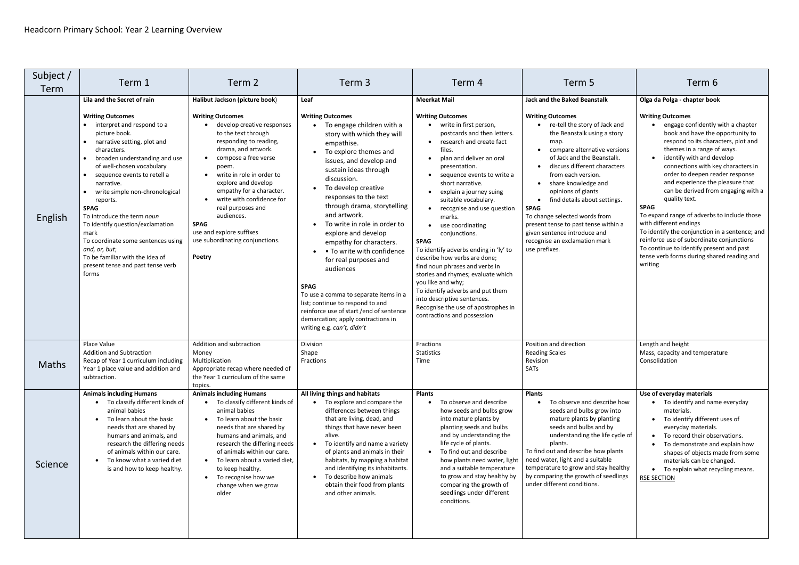| Subject /<br>Term | Term 1                                                                                                                                                                                                                                                                                                                                                                                                                                                                                                           | Term 2                                                                                                                                                                                                                                                                                                                                                                                                              | Term 3                                                                                                                                                                                                                                                                                                                                                                                                                                                                                                                                                                                                                                                        | Term 4                                                                                                                                                                                                                                                                                                                                                                                                                                                                                                                                                                                                                                                                                  | Term 5                                                                                                                                                                                                                                                                                                                                                                                                                                                                       | Term 6                                                                                                                                                                                                                                                                                                                                                                                                                                                                                                                                                                                                                                                              |
|-------------------|------------------------------------------------------------------------------------------------------------------------------------------------------------------------------------------------------------------------------------------------------------------------------------------------------------------------------------------------------------------------------------------------------------------------------------------------------------------------------------------------------------------|---------------------------------------------------------------------------------------------------------------------------------------------------------------------------------------------------------------------------------------------------------------------------------------------------------------------------------------------------------------------------------------------------------------------|---------------------------------------------------------------------------------------------------------------------------------------------------------------------------------------------------------------------------------------------------------------------------------------------------------------------------------------------------------------------------------------------------------------------------------------------------------------------------------------------------------------------------------------------------------------------------------------------------------------------------------------------------------------|-----------------------------------------------------------------------------------------------------------------------------------------------------------------------------------------------------------------------------------------------------------------------------------------------------------------------------------------------------------------------------------------------------------------------------------------------------------------------------------------------------------------------------------------------------------------------------------------------------------------------------------------------------------------------------------------|------------------------------------------------------------------------------------------------------------------------------------------------------------------------------------------------------------------------------------------------------------------------------------------------------------------------------------------------------------------------------------------------------------------------------------------------------------------------------|---------------------------------------------------------------------------------------------------------------------------------------------------------------------------------------------------------------------------------------------------------------------------------------------------------------------------------------------------------------------------------------------------------------------------------------------------------------------------------------------------------------------------------------------------------------------------------------------------------------------------------------------------------------------|
|                   | Lila and the Secret of rain                                                                                                                                                                                                                                                                                                                                                                                                                                                                                      | Halibut Jackson (picture book)                                                                                                                                                                                                                                                                                                                                                                                      | Leaf                                                                                                                                                                                                                                                                                                                                                                                                                                                                                                                                                                                                                                                          | <b>Meerkat Mail</b>                                                                                                                                                                                                                                                                                                                                                                                                                                                                                                                                                                                                                                                                     | <b>Jack and the Baked Beanstalk</b>                                                                                                                                                                                                                                                                                                                                                                                                                                          | Olga da Polga - chapter book                                                                                                                                                                                                                                                                                                                                                                                                                                                                                                                                                                                                                                        |
| English           | <b>Writing Outcomes</b><br>• interpret and respond to a<br>picture book.<br>narrative setting, plot and<br>characters.<br>broaden understanding and use<br>of well-chosen vocabulary<br>sequence events to retell a<br>narrative.<br>write simple non-chronological<br>reports.<br><b>SPAG</b><br>To introduce the term noun<br>To identify question/exclamation<br>mark<br>To coordinate some sentences using<br>and, or, but;<br>To be familiar with the idea of<br>present tense and past tense verb<br>forms | <b>Writing Outcomes</b><br>develop creative responses<br>to the text through<br>responding to reading,<br>drama, and artwork.<br>compose a free verse<br>$\bullet$<br>poem.<br>write in role in order to<br>explore and develop<br>empathy for a character.<br>write with confidence for<br>real purposes and<br>audiences.<br><b>SPAG</b><br>use and explore suffixes<br>use subordinating conjunctions.<br>Poetry | <b>Writing Outcomes</b><br>To engage children with a<br>story with which they will<br>empathise.<br>To explore themes and<br>issues, and develop and<br>sustain ideas through<br>discussion.<br>To develop creative<br>responses to the text<br>through drama, storytelling<br>and artwork.<br>To write in role in order to<br>explore and develop<br>empathy for characters.<br>• To write with confidence<br>for real purposes and<br>audiences<br><b>SPAG</b><br>To use a comma to separate items in a<br>list; continue to respond to and<br>reinforce use of start / end of sentence<br>demarcation; apply contractions in<br>writing e.g. can't, didn't | <b>Writing Outcomes</b><br>• write in first person,<br>postcards and then letters.<br>research and create fact<br>files.<br>plan and deliver an oral<br>presentation.<br>sequence events to write a<br>short narrative.<br>explain a journey suing<br>suitable vocabulary.<br>recognise and use question<br>marks.<br>• use coordinating<br>conjunctions.<br><b>SPAG</b><br>To identify adverbs ending in 'ly' to<br>describe how verbs are done;<br>find noun phrases and verbs in<br>stories and rhymes; evaluate which<br>you like and why;<br>To identify adverbs and put them<br>into descriptive sentences.<br>Recognise the use of apostrophes in<br>contractions and possession | <b>Writing Outcomes</b><br>• re-tell the story of Jack and<br>the Beanstalk using a story<br>map.<br>compare alternative versions<br>of Jack and the Beanstalk.<br>discuss different characters<br>from each version.<br>share knowledge and<br>opinions of giants<br>find details about settings.<br><b>SPAG</b><br>To change selected words from<br>present tense to past tense within a<br>given sentence introduce and<br>recognise an exclamation mark<br>use prefixes. | <b>Writing Outcomes</b><br>engage confidently with a chapter<br>book and have the opportunity to<br>respond to its characters, plot and<br>themes in a range of ways.<br>identify with and develop<br>connections with key characters in<br>order to deepen reader response<br>and experience the pleasure that<br>can be derived from engaging with a<br>quality text.<br><b>SPAG</b><br>To expand range of adverbs to include those<br>with different endings<br>To identify the conjunction in a sentence; and<br>reinforce use of subordinate conjunctions<br>To continue to identify present and past<br>tense verb forms during shared reading and<br>writing |
| Maths             | Place Value<br><b>Addition and Subtraction</b><br>Recap of Year 1 curriculum including<br>Year 1 place value and addition and<br>subtraction.                                                                                                                                                                                                                                                                                                                                                                    | Addition and subtraction<br>Money<br>Multiplication<br>Appropriate recap where needed of<br>the Year 1 curriculum of the same<br>topics.                                                                                                                                                                                                                                                                            | Division<br>Shape<br>Fractions                                                                                                                                                                                                                                                                                                                                                                                                                                                                                                                                                                                                                                | Fractions<br><b>Statistics</b><br>Time                                                                                                                                                                                                                                                                                                                                                                                                                                                                                                                                                                                                                                                  | Position and direction<br><b>Reading Scales</b><br>Revision<br>SATs                                                                                                                                                                                                                                                                                                                                                                                                          | Length and height<br>Mass, capacity and temperature<br>Consolidation                                                                                                                                                                                                                                                                                                                                                                                                                                                                                                                                                                                                |
| <b>Science</b>    | <b>Animals including Humans</b><br>To classify different kinds of<br>animal babies<br>To learn about the basic<br>$\bullet$<br>needs that are shared by<br>humans and animals, and<br>research the differing needs<br>of animals within our care.<br>To know what a varied diet<br>$\bullet$<br>is and how to keep healthy.                                                                                                                                                                                      | <b>Animals including Humans</b><br>To classify different kinds of<br>animal babies<br>To learn about the basic<br>$\bullet$<br>needs that are shared by<br>humans and animals, and<br>research the differing needs<br>of animals within our care.<br>To learn about a varied diet,<br>$\bullet$<br>to keep healthy.<br>To recognise how we<br>$\bullet$<br>change when we grow<br>older                             | All living things and habitats<br>To explore and compare the<br>$\bullet$<br>differences between things<br>that are living, dead, and<br>things that have never been<br>alive.<br>To identify and name a variety<br>$\bullet$<br>of plants and animals in their<br>habitats, by mapping a habitat<br>and identifying its inhabitants.<br>To describe how animals<br>$\bullet$<br>obtain their food from plants<br>and other animals.                                                                                                                                                                                                                          | <b>Plants</b><br>To observe and describe<br>how seeds and bulbs grow<br>into mature plants by<br>planting seeds and bulbs<br>and by understanding the<br>life cycle of plants.<br>To find out and describe<br>how plants need water, light<br>and a suitable temperature<br>to grow and stay healthy by<br>comparing the growth of<br>seedlings under different<br>conditions.                                                                                                                                                                                                                                                                                                          | <b>Plants</b><br>To observe and describe how<br>seeds and bulbs grow into<br>mature plants by planting<br>seeds and bulbs and by<br>understanding the life cycle of<br>plants.<br>To find out and describe how plants<br>need water, light and a suitable<br>temperature to grow and stay healthy<br>by comparing the growth of seedlings<br>under different conditions.                                                                                                     | Use of everyday materials<br>To identify and name everyday<br>materials.<br>To identify different uses of<br>$\bullet$<br>everyday materials.<br>To record their observations.<br>$\bullet$<br>To demonstrate and explain how<br>shapes of objects made from some<br>materials can be changed.<br>• To explain what recycling means.<br><b>RSE SECTION</b>                                                                                                                                                                                                                                                                                                          |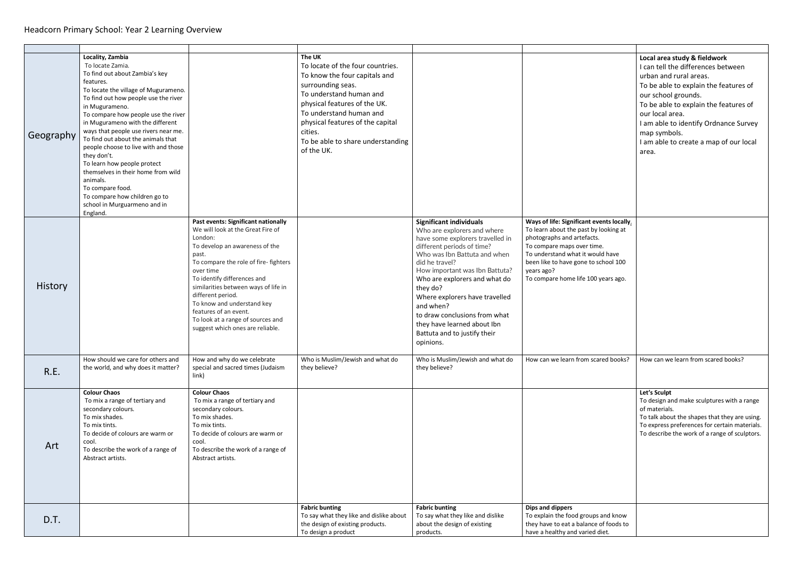## Headcorn Primary School: Year 2 Learning Overview

| Geography      | Locality, Zambia<br>To locate Zamia.<br>To find out about Zambia's key<br>features.<br>To locate the village of Mugurameno.<br>To find out how people use the river<br>in Mugurameno.<br>To compare how people use the river<br>in Mugurameno with the different<br>ways that people use rivers near me.<br>To find out about the animals that<br>people choose to live with and those<br>they don't.<br>To learn how people protect<br>themselves in their home from wild<br>animals.<br>To compare food.<br>To compare how children go to<br>school in Murguarmeno and in<br>England. |                                                                                                                                                                                                                                                                                                                                                                                                                  | The UK<br>To locate of the four countries.<br>To know the four capitals and<br>surrounding seas.<br>To understand human and<br>physical features of the UK.<br>To understand human and<br>physical features of the capital<br>cities.<br>To be able to share understanding<br>of the UK. |                                                                                                                                                                                                                                                                                                                                                                                                                              |                                                                                                                                                                                                                                                                                 | Local area study & fieldwork<br>I can tell the differences between<br>urban and rural areas.<br>To be able to explain the features of<br>our school grounds.<br>To be able to explain the features of<br>our local area.<br>I am able to identify Ordnance Survey<br>map symbols.<br>I am able to create a map of our local<br>area. |
|----------------|-----------------------------------------------------------------------------------------------------------------------------------------------------------------------------------------------------------------------------------------------------------------------------------------------------------------------------------------------------------------------------------------------------------------------------------------------------------------------------------------------------------------------------------------------------------------------------------------|------------------------------------------------------------------------------------------------------------------------------------------------------------------------------------------------------------------------------------------------------------------------------------------------------------------------------------------------------------------------------------------------------------------|------------------------------------------------------------------------------------------------------------------------------------------------------------------------------------------------------------------------------------------------------------------------------------------|------------------------------------------------------------------------------------------------------------------------------------------------------------------------------------------------------------------------------------------------------------------------------------------------------------------------------------------------------------------------------------------------------------------------------|---------------------------------------------------------------------------------------------------------------------------------------------------------------------------------------------------------------------------------------------------------------------------------|--------------------------------------------------------------------------------------------------------------------------------------------------------------------------------------------------------------------------------------------------------------------------------------------------------------------------------------|
| <b>History</b> |                                                                                                                                                                                                                                                                                                                                                                                                                                                                                                                                                                                         | Past events: Significant nationally<br>We will look at the Great Fire of<br>London:<br>To develop an awareness of the<br>past.<br>To compare the role of fire- fighters<br>over time<br>To identify differences and<br>similarities between ways of life in<br>different period.<br>To know and understand key<br>features of an event.<br>To look at a range of sources and<br>suggest which ones are reliable. |                                                                                                                                                                                                                                                                                          | <b>Significant individuals</b><br>Who are explorers and where<br>have some explorers travelled in<br>different periods of time?<br>Who was Ibn Battuta and when<br>did he travel?<br>How important was Ibn Battuta?<br>Who are explorers and what do<br>they do?<br>Where explorers have travelled<br>and when?<br>to draw conclusions from what<br>they have learned about Ibn<br>Battuta and to justify their<br>opinions. | Ways of life: Significant events locally.<br>To learn about the past by looking at<br>photographs and artefacts.<br>To compare maps over time.<br>To understand what it would have<br>been like to have gone to school 100<br>years ago?<br>To compare home life 100 years ago. |                                                                                                                                                                                                                                                                                                                                      |
| R.E.           | How should we care for others and<br>the world, and why does it matter?                                                                                                                                                                                                                                                                                                                                                                                                                                                                                                                 | How and why do we celebrate<br>special and sacred times (Judaism<br>link)                                                                                                                                                                                                                                                                                                                                        | Who is Muslim/Jewish and what do<br>they believe?                                                                                                                                                                                                                                        | Who is Muslim/Jewish and what do<br>they believe?                                                                                                                                                                                                                                                                                                                                                                            | How can we learn from scared books?                                                                                                                                                                                                                                             | How can we learn from scared books?                                                                                                                                                                                                                                                                                                  |
| Art            | <b>Colour Chaos</b><br>To mix a range of tertiary and<br>secondary colours.<br>To mix shades.<br>To mix tints.<br>To decide of colours are warm or<br>cool.<br>To describe the work of a range of<br>Abstract artists.                                                                                                                                                                                                                                                                                                                                                                  | <b>Colour Chaos</b><br>To mix a range of tertiary and<br>secondary colours.<br>To mix shades.<br>To mix tints.<br>To decide of colours are warm or<br>cool.<br>To describe the work of a range of<br>Abstract artists.                                                                                                                                                                                           |                                                                                                                                                                                                                                                                                          |                                                                                                                                                                                                                                                                                                                                                                                                                              |                                                                                                                                                                                                                                                                                 | Let's Sculpt<br>To design and make sculptures with a range<br>of materials.<br>To talk about the shapes that they are using.<br>To express preferences for certain materials.<br>To describe the work of a range of sculptors.                                                                                                       |
| D.T.           |                                                                                                                                                                                                                                                                                                                                                                                                                                                                                                                                                                                         |                                                                                                                                                                                                                                                                                                                                                                                                                  | <b>Fabric bunting</b><br>To say what they like and dislike about<br>the design of existing products.<br>To design a product                                                                                                                                                              | <b>Fabric bunting</b><br>To say what they like and dislike<br>about the design of existing<br>products.                                                                                                                                                                                                                                                                                                                      | Dips and dippers<br>To explain the food groups and know<br>they have to eat a balance of foods to<br>have a healthy and varied diet.                                                                                                                                            |                                                                                                                                                                                                                                                                                                                                      |